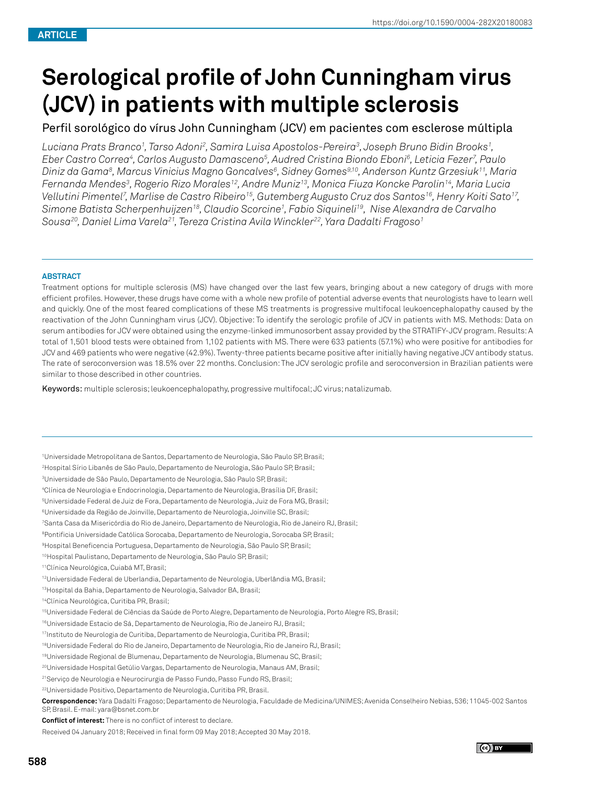# **Serological profile of John Cunningham virus (JCV) in patients with multiple sclerosis**

## Perfil sorológico do vírus John Cunningham (JCV) em pacientes com esclerose múltipla

*Luciana Prats Branco1 , Tarso Adoni2 , Samira Luisa Apostolos-Pereira3 , Joseph Bruno Bidin Brooks1 , Eber Castro Correa4 , Carlos Augusto Damasceno5 , Audred Cristina Biondo Eboni6 , Leticia Fezer7 , Paulo Diniz da Gama8 , Marcus Vinicius Magno Goncalves6 , Sidney Gomes9,10, Anderson Kuntz Grzesiuk11, Maria Fernanda Mendes3 , Rogerio Rizo Morales12, Andre Muniz13, Monica Fiuza Koncke Parolin14, Maria Lucia Vellutini Pimentel7 , Marlise de Castro Ribeiro15, Gutemberg Augusto Cruz dos Santos16, Henry Koiti Sato17, Simone Batista Scherpenhuijzen18, Claudio Scorcine1 , Fabio Siquineli19, Nise Alexandra de Carvalho Sousa20, Daniel Lima Varela21, Tereza Cristina Avila Winckler22, Yara Dadalti Fragoso1*

#### **ABSTRACT**

Treatment options for multiple sclerosis (MS) have changed over the last few years, bringing about a new category of drugs with more efficient profiles. However, these drugs have come with a whole new profile of potential adverse events that neurologists have to learn well and quickly. One of the most feared complications of these MS treatments is progressive multifocal leukoencephalopathy caused by the reactivation of the John Cunningham virus (JCV). Objective: To identify the serologic profile of JCV in patients with MS. Methods: Data on serum antibodies for JCV were obtained using the enzyme-linked immunosorbent assay provided by the STRATIFY-JCV program. Results: A total of 1,501 blood tests were obtained from 1,102 patients with MS. There were 633 patients (57.1%) who were positive for antibodies for JCV and 469 patients who were negative (42.9%). Twenty-three patients became positive after initially having negative JCV antibody status. The rate of seroconversion was 18.5% over 22 months. Conclusion: The JCV serologic profile and seroconversion in Brazilian patients were similar to those described in other countries.

Keywords: multiple sclerosis; leukoencephalopathy, progressive multifocal; JC virus; natalizumab.

1 Universidade Metropolitana de Santos, Departamento de Neurologia, São Paulo SP, Brasil;

2 Hospital Sírio Libanês de São Paulo, Departamento de Neurologia, São Paulo SP, Brasil;

3 Universidade de São Paulo, Departamento de Neurologia, São Paulo SP, Brasil;

4 Clínica de Neurologia e Endocrinologia, Departamento de Neurologia, Brasília DF, Brasil;

5 Universidade Federal de Juiz de Fora, Departamento de Neurologia, Juiz de Fora MG, Brasil;

6Universidade da Região de Joinville, Departamento de Neurologia, Joinville SC, Brasil;

7 Santa Casa da Misericórdia do Rio de Janeiro, Departamento de Neurologia, Rio de Janeiro RJ, Brasil;

8 Pontificia Universidade Católica Sorocaba, Departamento de Neurologia, Sorocaba SP, Brasil;

9Hospital Beneficencia Portuguesa, Departamento de Neurologia, São Paulo SP, Brasil;

10Hospital Paulistano, Departamento de Neurologia, São Paulo SP, Brasil;

11Clínica Neurológica, Cuiabá MT, Brasil;

12Universidade Federal de Uberlandia, Departamento de Neurologia, Uberlândia MG, Brasil;

13Hospital da Bahia, Departamento de Neurologia, Salvador BA, Brasil;

14Clínica Neurológica, Curitiba PR, Brasil;

15Universidade Federal de Ciências da Saúde de Porto Alegre, Departamento de Neurologia, Porto Alegre RS, Brasil;

16Universidade Estacio de Sá, Departamento de Neurologia, Rio de Janeiro RJ, Brasil;

17Instituto de Neurologia de Curitiba, Departamento de Neurologia, Curitiba PR, Brasil;

18Universidade Federal do Rio de Janeiro, Departamento de Neurologia, Rio de Janeiro RJ, Brasil;

19Universidade Regional de Blumenau, Departamento de Neurologia, Blumenau SC, Brasil;

20Universidade Hospital Getúlio Vargas, Departamento de Neurologia, Manaus AM, Brasil;

21Serviço de Neurologia e Neurocirurgia de Passo Fundo, Passo Fundo RS, Brasil;

22Universidade Positivo, Departamento de Neurologia, Curitiba PR, Brasil.

**Correspondence:** Yara Dadalti Fragoso; Departamento de Neurologia, Faculdade de Medicina/UNIMES; Avenida Conselheiro Nebias, 536; 11045-002 Santos SP, Brasil. E-mail: yara@bsnet.com.br

**Conflict of interest:** There is no conflict of interest to declare.

Received 04 January 2018; Received in final form 09 May 2018; Accepted 30 May 2018.

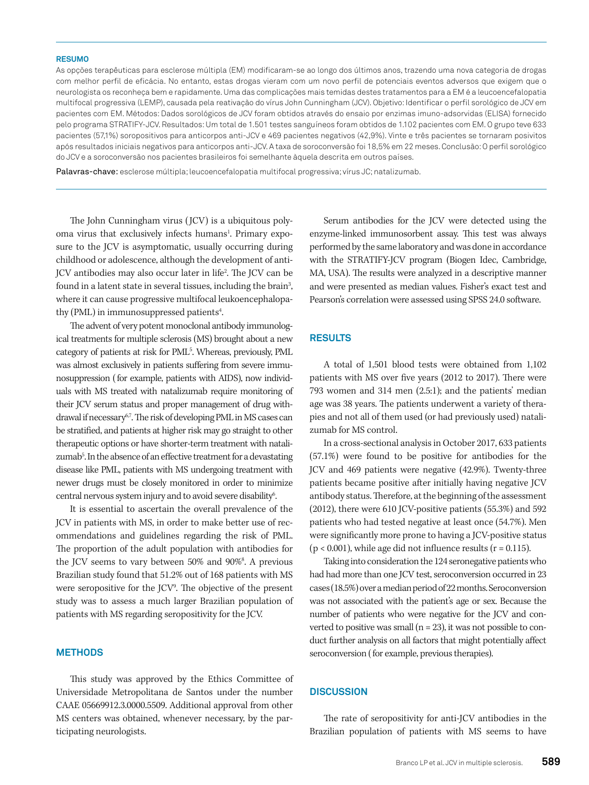#### **RESUMO**

As opções terapêuticas para esclerose múltipla (EM) modificaram-se ao longo dos últimos anos, trazendo uma nova categoria de drogas com melhor perfil de eficácia. No entanto, estas drogas vieram com um novo perfil de potenciais eventos adversos que exigem que o neurologista os reconheça bem e rapidamente. Uma das complicações mais temidas destes tratamentos para a EM é a leucoencefalopatia multifocal progressiva (LEMP), causada pela reativação do vírus John Cunningham (JCV). Objetivo: Identificar o perfil sorológico de JCV em pacientes com EM. Métodos: Dados sorológicos de JCV foram obtidos através do ensaio por enzimas imuno-adsorvidas (ELISA) fornecido pelo programa STRATIFY-JCV. Resultados: Um total de 1.501 testes sanguíneos foram obtidos de 1.102 pacientes com EM. O grupo teve 633 pacientes (57,1%) soropositivos para anticorpos anti-JCV e 469 pacientes negativos (42,9%). Vinte e três pacientes se tornaram posivitos após resultados iniciais negativos para anticorpos anti-JCV. A taxa de soroconversão foi 18,5% em 22 meses. Conclusão: O perfil sorológico do JCV e a soroconversão nos pacientes brasileiros foi semelhante àquela descrita em outros países.

Palavras-chave: esclerose múltipla; leucoencefalopatia multifocal progressiva; vírus JC; natalizumab.

The John Cunningham virus (JCV) is a ubiquitous polyoma virus that exclusively infects humans<sup>1</sup>. Primary exposure to the JCV is asymptomatic, usually occurring during childhood or adolescence, although the development of anti-JCV antibodies may also occur later in life<sup>2</sup> . The JCV can be found in a latent state in several tissues, including the brain<sup>3</sup>, where it can cause progressive multifocal leukoencephalopathy (PML) in immunosuppressed patients<sup>4</sup>.

The advent of very potent monoclonal antibody immunological treatments for multiple sclerosis (MS) brought about a new category of patients at risk for PML<sup>5</sup>. Whereas, previously, PML was almost exclusively in patients suffering from severe immunosuppression (for example, patients with AIDS), now individuals with MS treated with natalizumab require monitoring of their JCV serum status and proper management of drug withdrawal if necessary<sup>67</sup>. The risk of developing PML in MS cases can be stratified, and patients at higher risk may go straight to other therapeutic options or have shorter-term treatment with natalizumab<sup>5</sup>. In the absence of an effective treatment for a devastating disease like PML, patients with MS undergoing treatment with newer drugs must be closely monitored in order to minimize central nervous system injury and to avoid severe disability<sup>6</sup>. .

It is essential to ascertain the overall prevalence of the JCV in patients with MS, in order to make better use of recommendations and guidelines regarding the risk of PML. The proportion of the adult population with antibodies for the JCV seems to vary between 50% and 90%<sup>8</sup>. A previous Brazilian study found that 51.2% out of 168 patients with MS were seropositive for the JCV<sup>9</sup>. The objective of the present study was to assess a much larger Brazilian population of patients with MS regarding seropositivity for the JCV.

#### **METHODS**

This study was approved by the Ethics Committee of Universidade Metropolitana de Santos under the number CAAE 05669912.3.0000.5509. Additional approval from other MS centers was obtained, whenever necessary, by the participating neurologists.

Serum antibodies for the JCV were detected using the enzyme-linked immunosorbent assay. This test was always performed by the same laboratory and was done in accordance with the STRATIFY-JCV program (Biogen Idec, Cambridge, MA, USA). The results were analyzed in a descriptive manner and were presented as median values. Fisher's exact test and Pearson's correlation were assessed using SPSS 24.0 software.

#### **RESULTS**

A total of 1,501 blood tests were obtained from 1,102 patients with MS over five years (2012 to 2017). There were 793 women and 314 men (2.5:1); and the patients' median age was 38 years. The patients underwent a variety of therapies and not all of them used (or had previously used) natalizumab for MS control.

In a cross-sectional analysis in October 2017, 633 patients (57.1%) were found to be positive for antibodies for the JCV and 469 patients were negative (42.9%). Twenty-three patients became positive after initially having negative JCV antibody status. Therefore, at the beginning of the assessment (2012), there were 610 JCV-positive patients (55.3%) and 592 patients who had tested negative at least once (54.7%). Men were significantly more prone to having a JCV-positive status  $(p < 0.001)$ , while age did not influence results  $(r = 0.115)$ .

Taking into consideration the 124 seronegative patients who had had more than one JCV test, seroconversion occurred in 23 cases (18.5%) over a median period of 22 months. Seroconversion was not associated with the patient's age or sex. Because the number of patients who were negative for the JCV and converted to positive was small  $(n = 23)$ , it was not possible to conduct further analysis on all factors that might potentially affect seroconversion ( for example, previous therapies).

### **DISCUSSION**

The rate of seropositivity for anti-JCV antibodies in the Brazilian population of patients with MS seems to have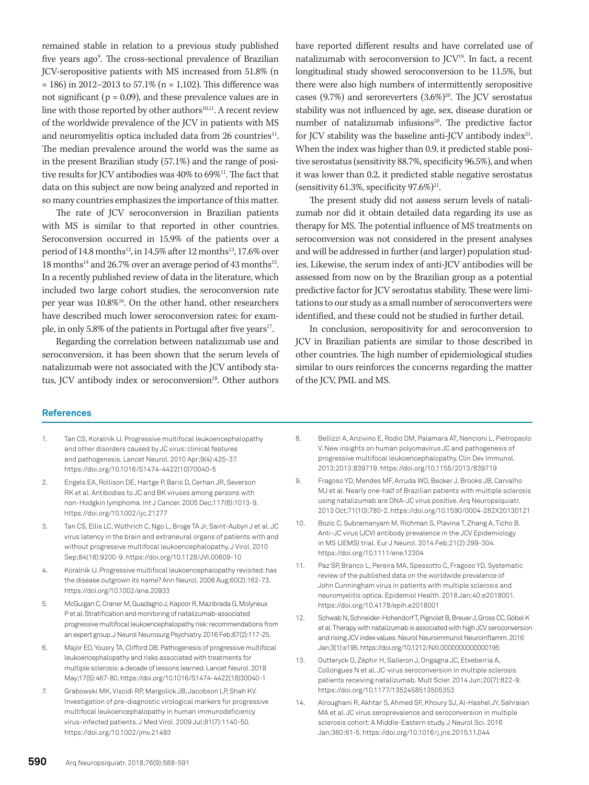remained stable in relation to a previous study published five years ago<sup>9</sup>. The cross-sectional prevalence of Brazilian JCV-seropositive patients with MS increased from 51.8% (n  $= 186$ ) in 2012–2013 to 57.1% (n = 1,102). This difference was not significant (p = 0.09), and these prevalence values are in line with those reported by other authors<sup>10,11</sup>. A recent review of the worldwide prevalence of the JCV in patients with MS and neuromyelitis optica included data from 26 countries<sup>11</sup>. The median prevalence around the world was the same as in the present Brazilian study (57.1%) and the range of positive results for JCV antibodies was 40% to 69%<sup>11</sup>. The fact that data on this subject are now being analyzed and reported in so many countries emphasizes the importance of this matter.

The rate of JCV seroconversion in Brazilian patients with MS is similar to that reported in other countries. Seroconversion occurred in 15.9% of the patients over a period of 14.8 months<sup>12</sup>, in 14.5% after 12 months<sup>13</sup>, 17.6% over  $18$  months<sup>14</sup> and  $26.7\%$  over an average period of 43 months<sup>15</sup>. In a recently published review of data in the literature, which included two large cohort studies, the seroconversion rate per year was 10.8%<sup>16</sup>. On the other hand, other researchers have described much lower seroconversion rates: for example, in only 5.8% of the patients in Portugal after five years<sup>17</sup>.

Regarding the correlation between natalizumab use and seroconversion, it has been shown that the serum levels of natalizumab were not associated with the JCV antibody status, JCV antibody index or seroconversion<sup>18</sup>. Other authors have reported different results and have correlated use of natalizumab with seroconversion to  $\mathrm{ICV}^{19}$ . In fact, a recent longitudinal study showed seroconversion to be 11.5%, but there were also high numbers of intermittently seropositive cases (9.7%) and seroreverters  $(3.6%)^{20}$ . The JCV serostatus stability was not influenced by age, sex, disease duration or number of natalizumab infusions<sup>20</sup>. The predictive factor for JCV stability was the baseline anti-JCV antibody index $21$ . When the index was higher than 0.9, it predicted stable positive serostatus (sensitivity 88.7%, specificity 96.5%), and when it was lower than 0.2, it predicted stable negative serostatus (sensitivity 61.3%, specificity  $97.6\%$ )<sup>21</sup>.

The present study did not assess serum levels of natalizumab nor did it obtain detailed data regarding its use as therapy for MS. The potential influence of MS treatments on seroconversion was not considered in the present analyses and will be addressed in further (and larger) population studies. Likewise, the serum index of anti-JCV antibodies will be assessed from now on by the Brazilian group as a potential predictive factor for JCV serostatus stability. These were limitations to our study as a small number of seroconverters were identified, and these could not be studied in further detail.

In conclusion, seropositivity for and seroconversion to JCV in Brazilian patients are similar to those described in other countries. The high number of epidemiological studies similar to ours reinforces the concerns regarding the matter of the JCV, PML and MS.

#### **References**

- 1. Tan CS, Koralnik IJ. Progressive multifocal leukoencephalopathy and other disorders caused by JC virus: clinical features and pathogenesis. Lancet Neurol. 2010 Apr;9(4):425-37. https://doi.org/10.1016/S1474-4422(10)70040-5
- 2. Engels EA, Rollison DE, Hartge P, Baris D, Cerhan JR, Severson RK et al. Antibodies to JC and BK viruses among persons with non-Hodgkin lymphoma. Int J Cancer. 2005 Dec;117(6):1013-9. https://doi.org/10.1002/ijc.21277
- 3. Tan CS, Ellis LC, Wüthrich C, Ngo L, Broge TA Jr, Saint-Aubyn J et al. JC virus latency in the brain and extraneural organs of patients with and without progressive multifocal leukoencephalopathy. J Virol. 2010 Sep;84(18):9200-9. https://doi.org/10.1128/JVI.00609-10
- 4. Koralnik IJ. Progressive multifocal leukoencephalopathy revisited: has the disease outgrown its name? Ann Neurol. 2006 Aug;60(2):162-73. https://doi.org/10.1002/ana.20933
- 5. McGuigan C, Craner M, Guadagno J, Kapoor R, Mazibrada G, Molyneux P et al. Stratification and monitoring of natalizumab-associated progressive multifocal leukoencephalopathy risk: recommendations from an expert group. J Neurol Neurosurg Psychiatry. 2016 Feb;87(2):117-25.
- 6. Major EO, Yousry TA, Clifford DB. Pathogenesis of progressive multifocal leukoencephalopathy and risks associated with treatments for multiple sclerosis: a decade of lessons learned. Lancet Neurol. 2018 May;17(5):467-80. https://doi.org/10.1016/S1474-4422(18)30040-1
- 7. Grabowski MK, Viscidi RP, Margolick JB, Jacobson LP, Shah KV. Investigation of pre-diagnostic virological markers for progressive multifocal leukoencephalopathy in human immunodeficiency virus-infected patients. J Med Virol. 2009 Jul;81(7):1140-50. https://doi.org/10.1002/jmv.21493
- 8. Bellizzi A, Anzivino E, Rodio DM, Palamara AT, Nencioni L, Pietropaolo V. New insights on human polyomavirus JC and pathogenesis of progressive multifocal leukoencephalopathy. Clin Dev Immunol. 2013;2013:839719. https://doi.org/10.1155/2013/839719
- 9. Fragoso YD, Mendes MF, Arruda WO, Becker J, Brooks JB, Carvalho MJ et al. Nearly one-half of Brazilian patients with multiple sclerosis using natalizumab are DNA-JC virus positive. Arq Neuropsiquiatr. 2013 Oct;71(10):780-2. https://doi.org/10.1590/0004-282X20130121
- 10. Bozic C, Subramanyam M, Richman S, Plavina T, Zhang A, Ticho B. Anti-JC virus (JCV) antibody prevalence in the JCV Epidemiology in MS (JEMS) trial. Eur J Neurol. 2014 Feb;21(2):299-304. https://doi.org/10.1111/ene.12304
- 11. Paz SP, Branco L, Pereira MA, Spessotto C, Fragoso YD. Systematic review of the published data on the worldwide prevalence of John Cunningham virus in patients with multiple sclerosis and neuromyelitis optica. Epidemiol Health. 2018 Jan;40:e2018001. https://doi.org/10.4178/epih.e2018001
- 12. Schwab N, Schneider-Hohendorf T, Pignolet B, Breuer J, Gross CC, Göbel K et al. Therapy with natalizumab is associated with high JCV seroconversion and rising JCV index values. Neurol Neuroimmunol Neuroinflamm. 2016 Jan;3(1):e195. https://doi.org/10.1212/NXI.0000000000000195
- 13. Outteryck O, Zéphir H, Salleron J, Ongagna JC, Etxeberria A, Collongues N et al. JC-virus seroconversion in multiple sclerosis patients receiving natalizumab. Mult Scler. 2014 Jun;20(7):822-9. https://doi.org/10.1177/1352458513505353
- 14. Alroughani R, Akhtar S, Ahmed SF, Khoury SJ, Al-Hashel JY, Sahraian MA et al. JC virus seroprevalence and seroconversion in multiple sclerosis cohort: A Middle-Eastern study. J Neurol Sci. 2016 Jan;360:61-5. https://doi.org/10.1016/j.jns.2015.11.044